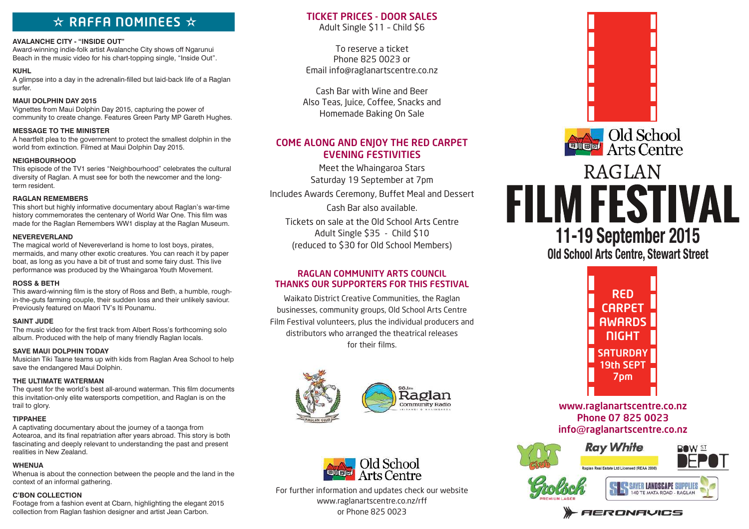# $\star$  RAFFA NOMINEES  $\star$

#### **AVALANCHE CITY - "INSIDE OUT"**

Award-winning indie-folk artist Avalanche City shows off Ngarunui Beach in the music video for his chart-topping single, "Inside Out".

### **KUHL**

A glimpse into a day in the adrenalin-filled but laid-back life of a Raglan surfer.

## **MAUI DOLPHIN DAY 2015**

Vignettes from Maui Dolphin Day 2015, capturing the power of community to create change. Features Green Party MP Gareth Hughes.

## **MESSAGE TO THE MINISTER**

A heartfelt plea to the government to protect the smallest dolphin in the world from extinction. Filmed at Maui Dolphin Day 2015.

### **NEIGHBOURHOOD**

This episode of the TV1 series "Neighbourhood" celebrates the cultural diversity of Raglan. A must see for both the newcomer and the longterm resident.

## **RAGLAN REMEMBERS**

This short but highly informative documentary about Raglan's war-time history commemorates the centenary of World War One. This film was made for the Raglan Remembers WW1 display at the Raglan Museum.

## **NEVEREVERLAND**

The magical world of Nevereverland is home to lost boys, pirates, mermaids, and many other exotic creatures. You can reach it by paper boat, as long as you have a bit of trust and some fairy dust. This live performance was produced by the Whaingaroa Youth Movement.

### **ROSS & BETH**

This award-winning film is the story of Ross and Beth, a humble, roughin-the-guts farming couple, their sudden loss and their unlikely saviour. Previously featured on Maori TV's Iti Pounamu.

### **SAINT JUDE**

The music video for the first track from Albert Ross's forthcoming solo album. Produced with the help of many friendly Raglan locals.

# **SAVE MAUI DOLPHIN TODAY**

Musician Tiki Taane teams up with kids from Raglan Area School to help save the endangered Maui Dolphin.

# **THE ULTIMATE WATERMAN**

The quest for the world's best all-around waterman. This film documents this invitation-only elite watersports competition, and Raglan is on the trail to glory.

# **TIPPAHEE**

A captivating documentary about the journey of a taonga from Aotearoa, and its final repatriation after years abroad. This story is both fascinating and deeply relevant to understanding the past and present realities in New Zealand.

# **WHENUA**

Whenua is about the connection between the people and the land in the context of an informal gathering.

# **C'BON COLLECTION**

Footage from a fashion event at Cbarn, highlighting the elegant 2015 collection from Raglan fashion designer and artist Jean Carbon.

# TICKET PRICES - DOOR SALES

Adult Single \$11 – Child \$6

To reserve a ticket Phone 825 0023 or Email info@raglanartscentre.co.nz

Cash Bar with Wine and Beer Also Teas, Juice, Coffee, Snacks and Homemade Baking On Sale

# COME ALONG AND ENJOY THE RED CARPET EVENING FESTIVITIES

Meet the Whaingaroa Stars Saturday 19 September at 7pm

Includes Awards Ceremony, Buffet Meal and Dessert

Cash Bar also available. Tickets on sale at the Old School Arts Centre Adult Single \$35 - Child \$10 (reduced to \$30 for Old School Members)

# RAGLAN COMMUNITY ARTS COUNCIL THANKS OUR SUPPORTERS FOR THIS FESTIVAL

Waikato District Creative Communities, the Raglan businesses, community groups, Old School Arts Centre Film Festival volunteers, plus the individual producers and distributors who arranged the theatrical releases for their films.





For further information and updates check our website www.raglanartscentre.co.nz/rff or Phone 825 0023